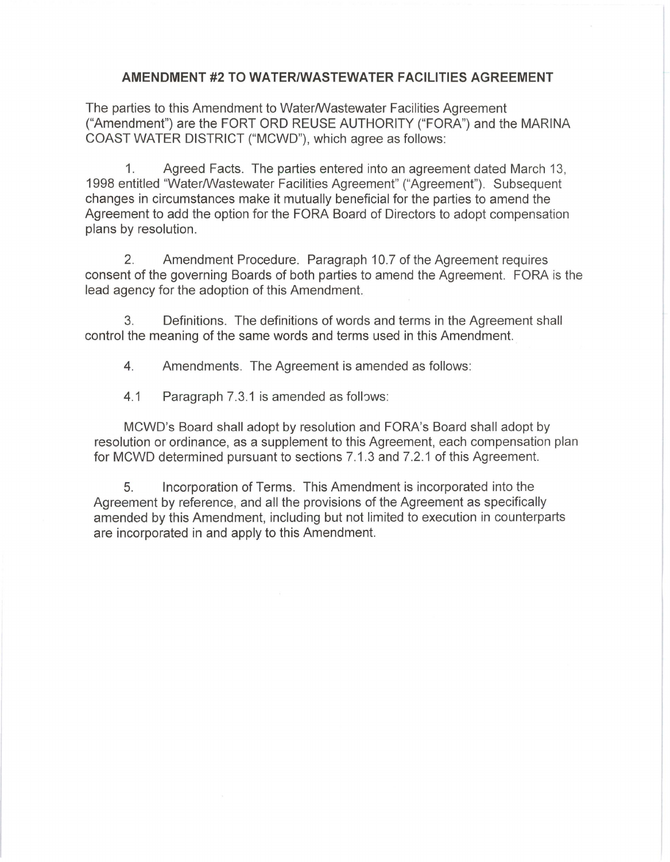## **AMENDMENT #2 TO WATER/WASTEWATER FACILITIES AGREEMENT**

The parties to this Amendment to Water/Wastewater Facilities Agreement ("Amendment") are the FORT ORO REUSE AUTHORITY ("FORA") and the MARINA COAST WATER DISTRICT ("MCWD"), which agree as follows:

1. Agreed Facts. The parties entered into an agreement dated March 13, 1998 entitled "Water/Wastewater Facilities Agreement" ("Agreement"). Subsequent changes in circumstances make it mutually beneficial for the parties to amend the Agreement to add the option for the FORA Board of Directors to adopt compensation plans by resolution.

2. Amendment Procedure. Paragraph 10.7 of the Agreement requires consent of the governing Boards of both parties to amend the Agreement. FORA is the lead agency for the adoption of this Amendment.

3. Definitions. The definitions of words and terms in the Agreement shall control the meaning of the same words and terms used in this Amendment.

4. Amendments. The Agreement is amended as follows:

4.1 Paragraph 7.3.1 is amended as follows:

MCWD's Board shall adopt by resolution and FORA's Board shall adopt by resolution or ordinance, as a supplement to this Agreement, each compensation plan for MCWD determined pursuant to sections 7.1.3 and 7.2.1 of this Agreement.

5. Incorporation of Terms. This Amendment is incorporated into the Agreement by reference, and all the provisions of the Agreement as specifically amended by this Amendment, including but not limited to execution in counterparts are incorporated in and apply to this Amendment.